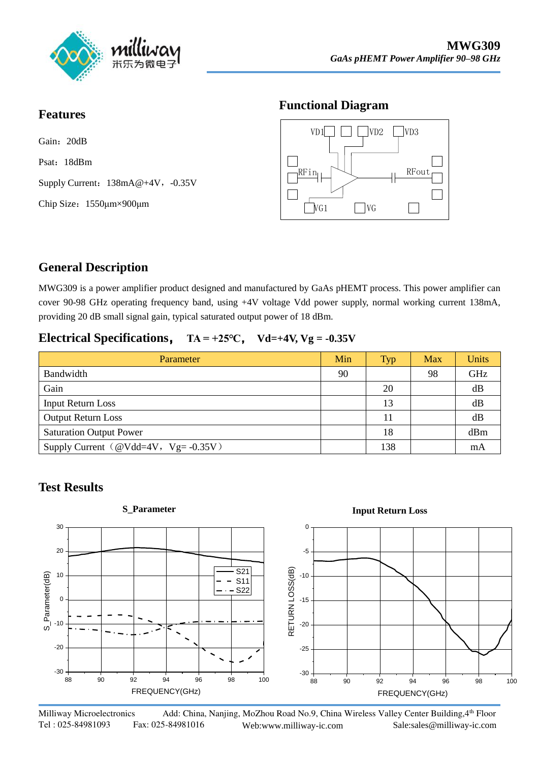

#### **Features**

Gain: 20dB Psat: 18dBm Supply Current:  $138mA@+4V$ , -0.35V Chip Size:1550μm×900μm

## **Functional Diagram**



# **General Description**

MWG309 is a power amplifier product designed and manufactured by GaAs pHEMT process. This power amplifier can cover 90-98 GHz operating frequency band, using +4V voltage Vdd power supply, normal working current 138mA, providing 20 dB small signal gain, typical saturated output power of 18 dBm.

#### **Electrical Specifications,**  $TA = +25°C$ ,  $Vd=+4V$ ,  $Vg = -0.35V$

| Parameter                                   | Min | <b>Typ</b> | Max | Units |
|---------------------------------------------|-----|------------|-----|-------|
| Bandwidth                                   | 90  |            | 98  | GHz   |
| Gain                                        |     | 20         |     | dB    |
| <b>Input Return Loss</b>                    |     | 13         |     | dB    |
| <b>Output Return Loss</b>                   |     | 11         |     | dB    |
| <b>Saturation Output Power</b>              |     | 18         |     | dBm   |
| Supply Current ( $@Vdd=4V$ , $Vg= -0.35V$ ) |     | 138        |     | mA    |

## **Test Results**



Milliway Microelectronics Add: China, Nanjing, MoZhou Road No.9, China Wireless Valley Center Building, 4th Floor Tel : 025-84981093 Fax: 025-84981016 Web:www.milliway-ic.com Sale:sales@milliway-ic.com